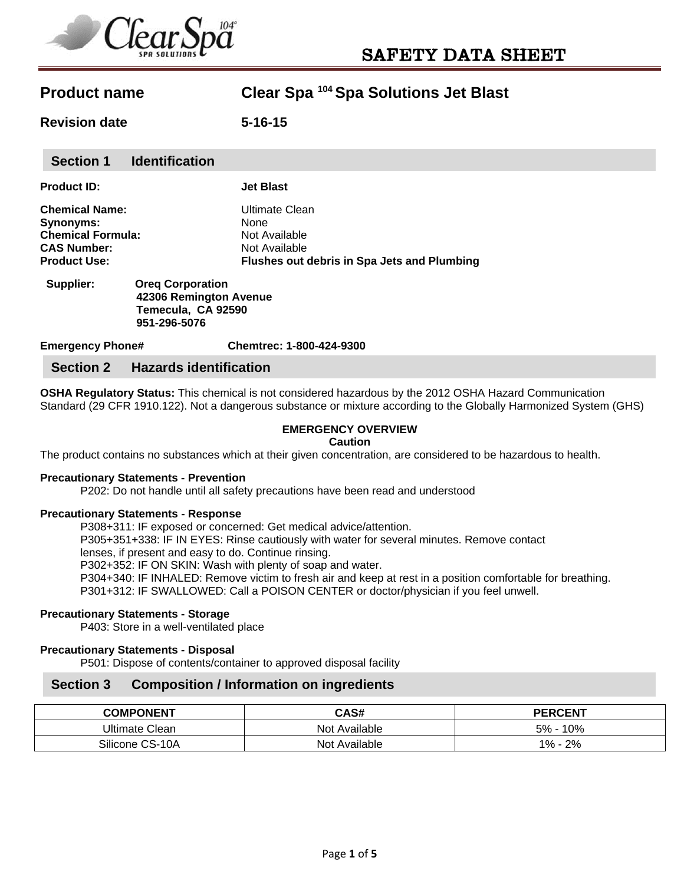

**Revision date 5-16-15**

| <b>Section 1</b>         | <b>Identification</b>   |                                             |
|--------------------------|-------------------------|---------------------------------------------|
| <b>Product ID:</b>       |                         | <b>Jet Blast</b>                            |
| <b>Chemical Name:</b>    |                         | Ultimate Clean                              |
| <b>Synonyms:</b>         |                         | None                                        |
| <b>Chemical Formula:</b> |                         | Not Available                               |
| <b>CAS Number:</b>       |                         | Not Available                               |
| <b>Product Use:</b>      |                         | Flushes out debris in Spa Jets and Plumbing |
| Supplier:                | <b>Oreg Corporation</b> |                                             |

 **42306 Remington Avenue Temecula, CA 92590 951-296-5076** 

**Emergency Phone# Chemtrec: 1-800-424-9300** 

# **Section 2 Hazards identification**

**OSHA Regulatory Status:** This chemical is not considered hazardous by the 2012 OSHA Hazard Communication Standard (29 CFR 1910.122). Not a dangerous substance or mixture according to the Globally Harmonized System (GHS)

## **EMERGENCY OVERVIEW**

#### **Caution**

The product contains no substances which at their given concentration, are considered to be hazardous to health.

### **Precautionary Statements - Prevention**

P202: Do not handle until all safety precautions have been read and understood

#### **Precautionary Statements - Response**

P308+311: IF exposed or concerned: Get medical advice/attention. P305+351+338: IF IN EYES: Rinse cautiously with water for several minutes. Remove contact lenses, if present and easy to do. Continue rinsing. P302+352: IF ON SKIN: Wash with plenty of soap and water. P304+340: IF INHALED: Remove victim to fresh air and keep at rest in a position comfortable for breathing. P301+312: IF SWALLOWED: Call a POISON CENTER or doctor/physician if you feel unwell.

### **Precautionary Statements - Storage**

P403: Store in a well-ventilated place

## **Precautionary Statements - Disposal**

P501: Dispose of contents/container to approved disposal facility

## **Section 3 Composition / Information on ingredients**

| <b>COMPONENT</b> | CAS#          | <b>PERCENT</b> |
|------------------|---------------|----------------|
| Ultimate Clean   | Not Available | 10%<br>5% -    |
| Silicone CS-10A  | Not Available | 2%<br>$1\%$    |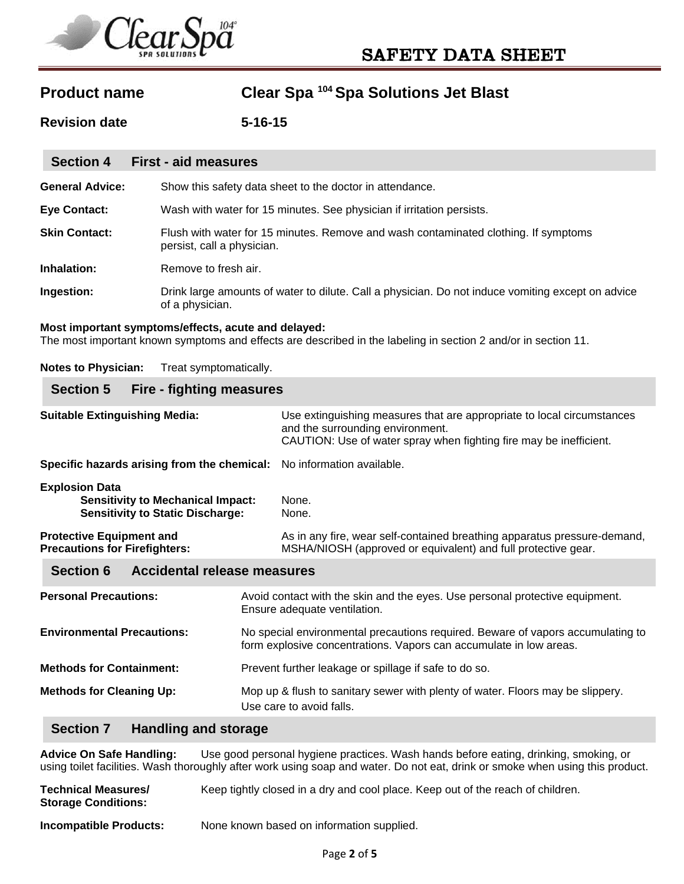

**Revision date 5-16-15**

| <b>Section 4</b>       | <b>First - aid measures</b>                                                                                          |
|------------------------|----------------------------------------------------------------------------------------------------------------------|
| <b>General Advice:</b> | Show this safety data sheet to the doctor in attendance.                                                             |
| <b>Eye Contact:</b>    | Wash with water for 15 minutes. See physician if irritation persists.                                                |
| <b>Skin Contact:</b>   | Flush with water for 15 minutes. Remove and wash contaminated clothing. If symptoms<br>persist, call a physician.    |
| Inhalation:            | Remove to fresh air.                                                                                                 |
| Ingestion:             | Drink large amounts of water to dilute. Call a physician. Do not induce vomiting except on advice<br>of a physician. |

### **Most important symptoms/effects, acute and delayed:**

The most important known symptoms and effects are described in the labeling in section 2 and/or in section 11.

**Notes to Physician:** Treat symptomatically.

# **Section 5 Fire - fighting measures**

| <b>Suitable Extinguishing Media:</b>                                                                         | Use extinguishing measures that are appropriate to local circumstances<br>and the surrounding environment.<br>CAUTION: Use of water spray when fighting fire may be inefficient. |
|--------------------------------------------------------------------------------------------------------------|----------------------------------------------------------------------------------------------------------------------------------------------------------------------------------|
| Specific hazards arising from the chemical: No information available.                                        |                                                                                                                                                                                  |
| <b>Explosion Data</b><br><b>Sensitivity to Mechanical Impact:</b><br><b>Sensitivity to Static Discharge:</b> | None.<br>None.                                                                                                                                                                   |
| <b>Protective Equipment and</b><br><b>Precautions for Firefighters:</b>                                      | As in any fire, wear self-contained breathing apparatus pressure-demand,<br>MSHA/NIOSH (approved or equivalent) and full protective gear.                                        |
| Accidental release measures<br><b>Section 6</b>                                                              |                                                                                                                                                                                  |

| <b>Personal Precautions:</b>      | Avoid contact with the skin and the eyes. Use personal protective equipment.<br>Ensure adequate ventilation.                                          |
|-----------------------------------|-------------------------------------------------------------------------------------------------------------------------------------------------------|
| <b>Environmental Precautions:</b> | No special environmental precautions required. Beware of vapors accumulating to<br>form explosive concentrations. Vapors can accumulate in low areas. |
| <b>Methods for Containment:</b>   | Prevent further leakage or spillage if safe to do so.                                                                                                 |
| <b>Methods for Cleaning Up:</b>   | Mop up & flush to sanitary sewer with plenty of water. Floors may be slippery.<br>Use care to avoid falls.                                            |

# **Section 7 Handling and storage**

**Advice On Safe Handling:** Use good personal hygiene practices. Wash hands before eating, drinking, smoking, or using toilet facilities. Wash thoroughly after work using soap and water. Do not eat, drink or smoke when using this product.

| <b>Technical Measures/</b><br><b>Storage Conditions:</b> | Keep tightly closed in a dry and cool place. Keep out of the reach of children. |
|----------------------------------------------------------|---------------------------------------------------------------------------------|
| Incompatible Products:                                   | None known based on information supplied.                                       |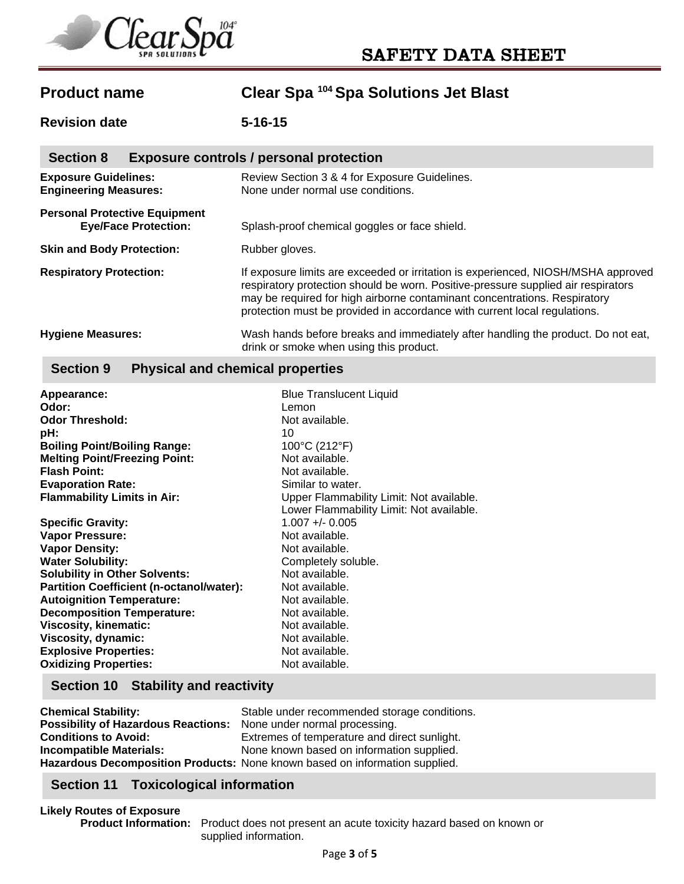

**Revision date 5-16-15**

| <b>Section 8</b><br><b>Exposure controls / personal protection</b>  |                                                                                                                                                                                                                                                                                                                                  |  |  |
|---------------------------------------------------------------------|----------------------------------------------------------------------------------------------------------------------------------------------------------------------------------------------------------------------------------------------------------------------------------------------------------------------------------|--|--|
| <b>Exposure Guidelines:</b><br><b>Engineering Measures:</b>         | Review Section 3 & 4 for Exposure Guidelines.<br>None under normal use conditions.                                                                                                                                                                                                                                               |  |  |
| <b>Personal Protective Equipment</b><br><b>Eye/Face Protection:</b> | Splash-proof chemical goggles or face shield.                                                                                                                                                                                                                                                                                    |  |  |
| <b>Skin and Body Protection:</b>                                    | Rubber gloves.                                                                                                                                                                                                                                                                                                                   |  |  |
| <b>Respiratory Protection:</b>                                      | If exposure limits are exceeded or irritation is experienced, NIOSH/MSHA approved<br>respiratory protection should be worn. Positive-pressure supplied air respirators<br>may be required for high airborne contaminant concentrations. Respiratory<br>protection must be provided in accordance with current local regulations. |  |  |
| <b>Hygiene Measures:</b>                                            | Wash hands before breaks and immediately after handling the product. Do not eat,<br>drink or smoke when using this product.                                                                                                                                                                                                      |  |  |

# **Section 9 Physical and chemical properties**

| Appearance:                                     | <b>Blue Translucent Liquid</b>           |
|-------------------------------------------------|------------------------------------------|
| Odor:                                           | Lemon                                    |
| <b>Odor Threshold:</b>                          | Not available.                           |
| pH:                                             | 10                                       |
| <b>Boiling Point/Boiling Range:</b>             | 100°C (212°F)                            |
| <b>Melting Point/Freezing Point:</b>            | Not available.                           |
| <b>Flash Point:</b>                             | Not available.                           |
| <b>Evaporation Rate:</b>                        | Similar to water.                        |
| <b>Flammability Limits in Air:</b>              | Upper Flammability Limit: Not available. |
|                                                 | Lower Flammability Limit: Not available. |
| <b>Specific Gravity:</b>                        | $1.007 + - 0.005$                        |
| <b>Vapor Pressure:</b>                          | Not available.                           |
| <b>Vapor Density:</b>                           | Not available.                           |
| <b>Water Solubility:</b>                        | Completely soluble.                      |
| <b>Solubility in Other Solvents:</b>            | Not available.                           |
| <b>Partition Coefficient (n-octanol/water):</b> | Not available.                           |
| <b>Autoignition Temperature:</b>                | Not available.                           |
| <b>Decomposition Temperature:</b>               | Not available.                           |
| <b>Viscosity, kinematic:</b>                    | Not available.                           |
| Viscosity, dynamic:                             | Not available.                           |
| <b>Explosive Properties:</b>                    | Not available.                           |
| <b>Oxidizing Properties:</b>                    | Not available.                           |

# **Section 10 Stability and reactivity**

| <b>Chemical Stability:</b>                 | Stable under recommended storage conditions.                                |
|--------------------------------------------|-----------------------------------------------------------------------------|
| <b>Possibility of Hazardous Reactions:</b> | None under normal processing.                                               |
| <b>Conditions to Avoid:</b>                | Extremes of temperature and direct sunlight.                                |
| <b>Incompatible Materials:</b>             | None known based on information supplied.                                   |
|                                            | Hazardous Decomposition Products: None known based on information supplied. |

# **Section 11 Toxicological information**

**Likely Routes of Exposure Product Information:** Product does not present an acute toxicity hazard based on known or supplied information.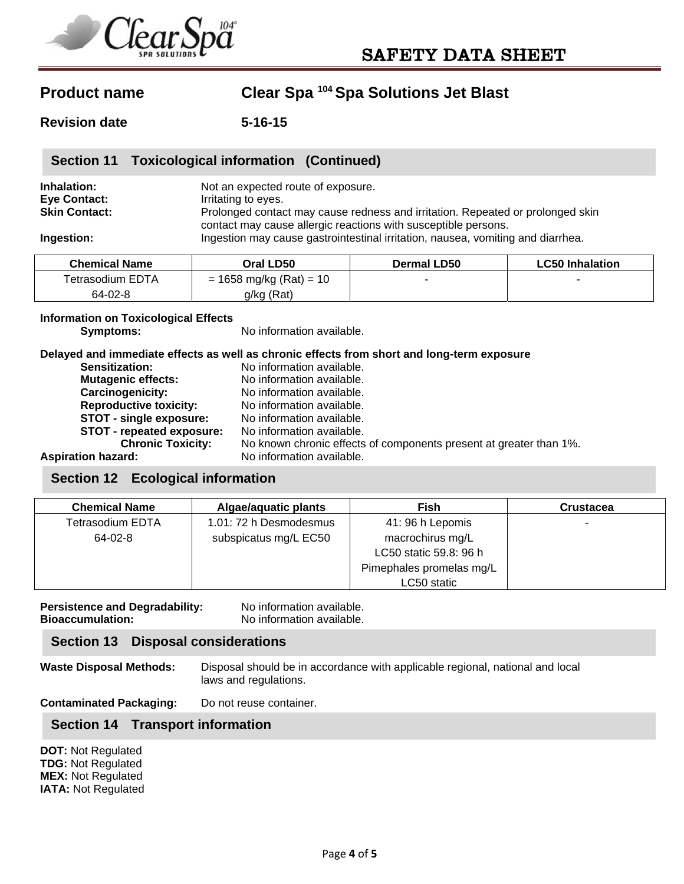

**Revision date 5-16-15**

# **Inhalation:** Not an expected route of exposure. **Eye Contact: I**rritating to eyes. **Skin Contact: Prolonged contact may cause redness and irritation. Repeated or prolonged skin** contact may cause allergic reactions with susceptible persons. **Ingestion: Ingestion may cause gastrointestinal irritation, nausea, vomiting and diarrhea. Section 11 Toxicological information (Continued)**

| <b>Chemical Name</b>    | Oral LD50                 | Dermal LD50              | <b>LC50 Inhalation</b> |
|-------------------------|---------------------------|--------------------------|------------------------|
| <b>Tetrasodium EDTA</b> | $= 1658$ mg/kg (Rat) = 10 | $\overline{\phantom{0}}$ |                        |
| 64-02-8                 | g/kg (Rat)                |                          |                        |

### **Information on Toxicological Effects**

**Symptoms:** No information available.

**Delayed and immediate effects as well as chronic effects from short and long-term exposure** 

| <b>Sensitization:</b>         | No information available.                                          |
|-------------------------------|--------------------------------------------------------------------|
| <b>Mutagenic effects:</b>     | No information available.                                          |
| Carcinogenicity:              | No information available.                                          |
| <b>Reproductive toxicity:</b> | No information available.                                          |
| STOT - single exposure:       | No information available.                                          |
| STOT - repeated exposure:     | No information available.                                          |
| <b>Chronic Toxicity:</b>      | No known chronic effects of components present at greater than 1%. |
| <b>Aspiration hazard:</b>     | No information available.                                          |

# **Section 12 Ecological information**

| <b>Chemical Name</b> | Algae/aquatic plants   | Fish                     | <b>Crustacea</b> |
|----------------------|------------------------|--------------------------|------------------|
| Tetrasodium EDTA     | 1.01: 72 h Desmodesmus | 41: 96 h Lepomis         |                  |
| 64-02-8              | subspicatus mg/L EC50  | macrochirus mg/L         |                  |
|                      |                        | LC50 static 59.8: 96 h   |                  |
|                      |                        | Pimephales promelas mg/L |                  |
|                      |                        | LC50 static              |                  |

**Persistence and Degradability:** No information available. **Bioaccumulation:** No information available.

# **Section 13 Disposal considerations**

**Waste Disposal Methods:** Disposal should be in accordance with applicable regional, national and local laws and regulations.

**Contaminated Packaging:** Do not reuse container.

# **Section 14 Transport information**

**DOT:** Not Regulated **TDG:** Not Regulated **MEX:** Not Regulated **IATA:** Not Regulated